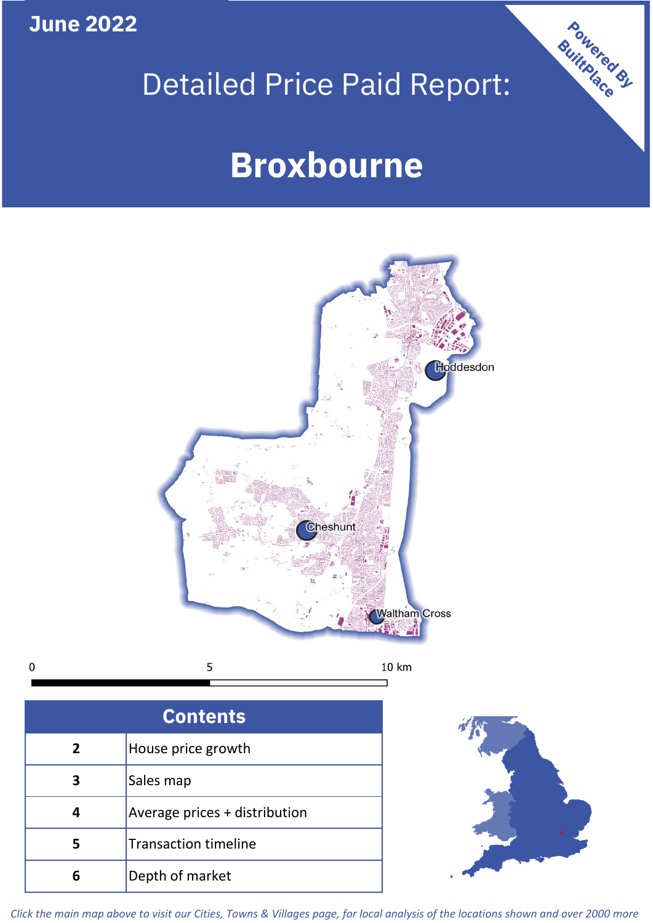**June 2022**

 $\mathbf 0$ 

# Detailed Price Paid Report:

# **Broxbourne**



| <b>Contents</b> |                               |  |  |
|-----------------|-------------------------------|--|--|
| $\overline{2}$  | House price growth            |  |  |
| З               | Sales map                     |  |  |
|                 | Average prices + distribution |  |  |
| 5               | <b>Transaction timeline</b>   |  |  |
|                 | Depth of market               |  |  |



Powered By

*Click the main map above to visit our Cities, Towns & Villages page, for local analysis of the locations shown and over 2000 more*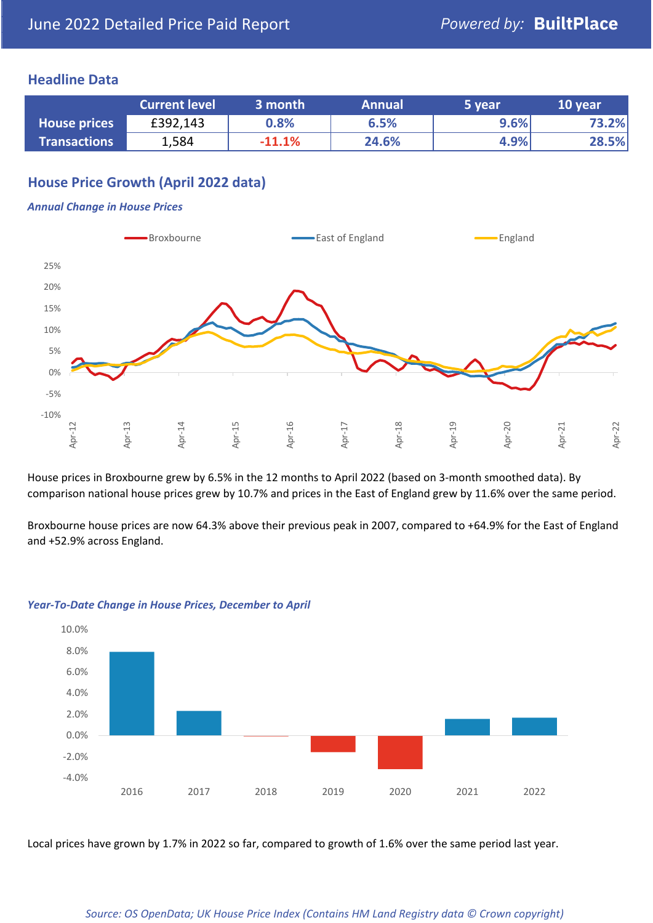# **Headline Data**

|                     | <b>Current level</b> | 3 month  | <b>Annual</b> | 5 year | 10 year |
|---------------------|----------------------|----------|---------------|--------|---------|
| <b>House prices</b> | £392,143             | 0.8%     | 6.5%          | 9.6%   | 73.2%   |
| <b>Transactions</b> | 1,584                | $-11.1%$ | 24.6%         | 4.9%   | 28.5%   |

# **House Price Growth (April 2022 data)**

#### *Annual Change in House Prices*



House prices in Broxbourne grew by 6.5% in the 12 months to April 2022 (based on 3-month smoothed data). By comparison national house prices grew by 10.7% and prices in the East of England grew by 11.6% over the same period.

Broxbourne house prices are now 64.3% above their previous peak in 2007, compared to +64.9% for the East of England and +52.9% across England.



#### *Year-To-Date Change in House Prices, December to April*

Local prices have grown by 1.7% in 2022 so far, compared to growth of 1.6% over the same period last year.

#### *Source: OS OpenData; UK House Price Index (Contains HM Land Registry data © Crown copyright)*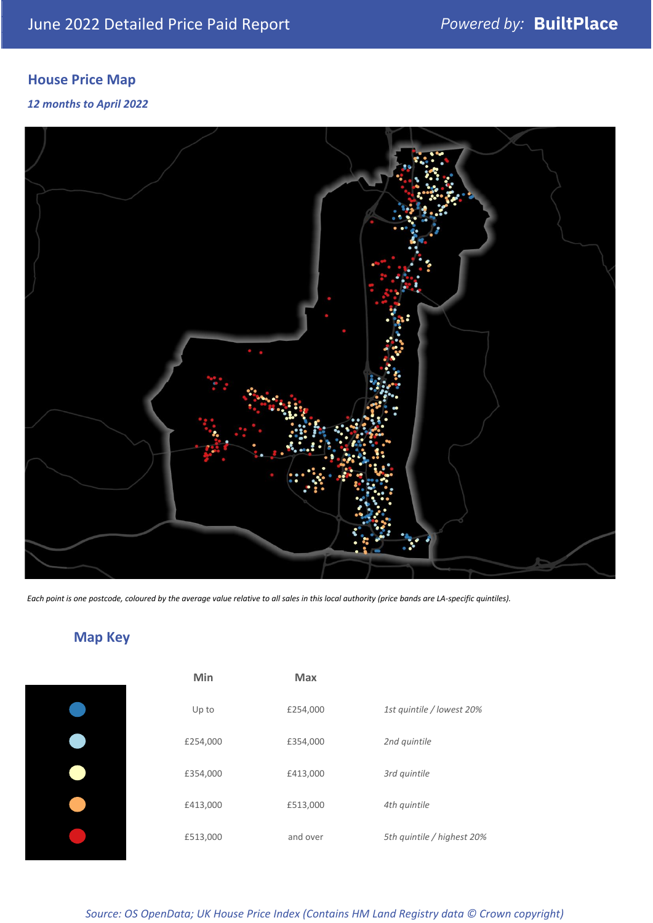# **House Price Map**

## *12 months to April 2022*



*Each point is one postcode, coloured by the average value relative to all sales in this local authority (price bands are LA-specific quintiles).*

**Map Key**

| Min      | <b>Max</b> |                            |
|----------|------------|----------------------------|
| Up to    | £254,000   | 1st quintile / lowest 20%  |
| £254,000 | £354,000   | 2nd quintile               |
| £354,000 | £413,000   | 3rd quintile               |
| £413,000 | £513,000   | 4th quintile               |
| £513,000 | and over   | 5th quintile / highest 20% |

#### *Source: OS OpenData; UK House Price Index (Contains HM Land Registry data © Crown copyright)*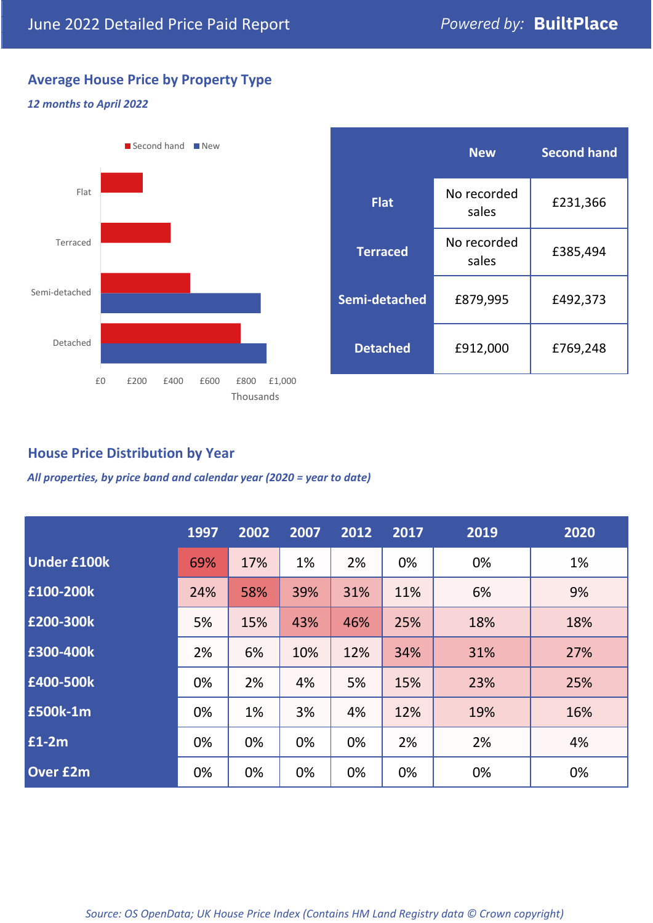# **Average House Price by Property Type**

## *12 months to April 2022*



|                 | <b>New</b>           | <b>Second hand</b> |  |
|-----------------|----------------------|--------------------|--|
| <b>Flat</b>     | No recorded<br>sales | £231,366           |  |
| <b>Terraced</b> | No recorded<br>sales | £385,494           |  |
| Semi-detached   | £879,995             | £492,373           |  |
| <b>Detached</b> | £912,000             | £769,248           |  |

# **House Price Distribution by Year**

*All properties, by price band and calendar year (2020 = year to date)*

|                    | 1997 | 2002 | 2007 | 2012 | 2017 | 2019 | 2020 |
|--------------------|------|------|------|------|------|------|------|
| <b>Under £100k</b> | 69%  | 17%  | 1%   | 2%   | 0%   | 0%   | 1%   |
| £100-200k          | 24%  | 58%  | 39%  | 31%  | 11%  | 6%   | 9%   |
| E200-300k          | 5%   | 15%  | 43%  | 46%  | 25%  | 18%  | 18%  |
| £300-400k          | 2%   | 6%   | 10%  | 12%  | 34%  | 31%  | 27%  |
| £400-500k          | 0%   | 2%   | 4%   | 5%   | 15%  | 23%  | 25%  |
| <b>£500k-1m</b>    | 0%   | 1%   | 3%   | 4%   | 12%  | 19%  | 16%  |
| £1-2m              | 0%   | 0%   | 0%   | 0%   | 2%   | 2%   | 4%   |
| <b>Over £2m</b>    | 0%   | 0%   | 0%   | 0%   | 0%   | 0%   | 0%   |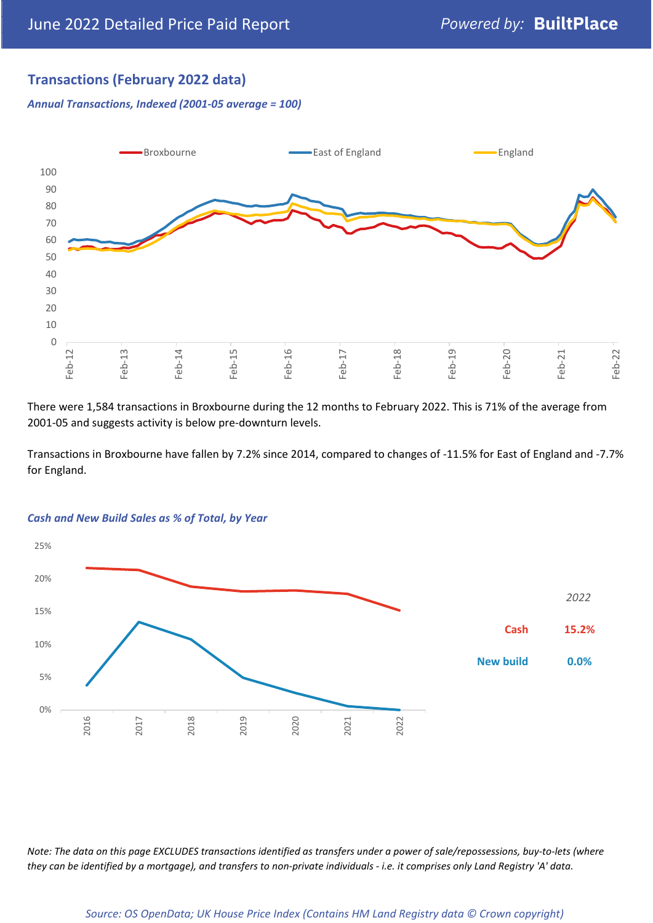# **Transactions (February 2022 data)**

*Annual Transactions, Indexed (2001-05 average = 100)*



There were 1,584 transactions in Broxbourne during the 12 months to February 2022. This is 71% of the average from 2001-05 and suggests activity is below pre-downturn levels.

Transactions in Broxbourne have fallen by 7.2% since 2014, compared to changes of -11.5% for East of England and -7.7% for England.



#### *Cash and New Build Sales as % of Total, by Year*

*Note: The data on this page EXCLUDES transactions identified as transfers under a power of sale/repossessions, buy-to-lets (where they can be identified by a mortgage), and transfers to non-private individuals - i.e. it comprises only Land Registry 'A' data.*